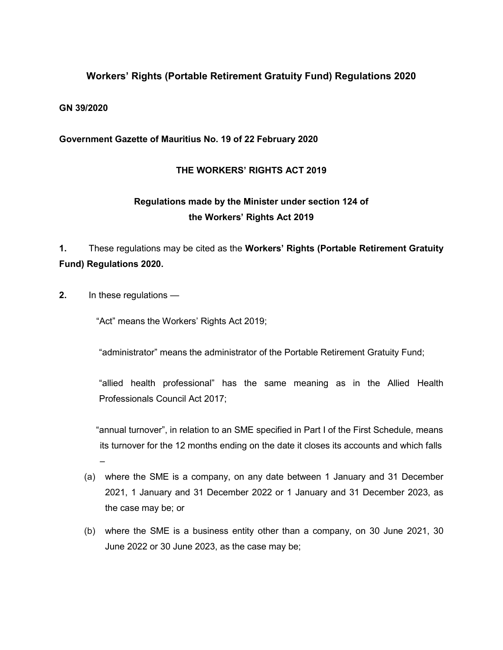# **Workers' Rights (Portable Retirement Gratuity Fund) Regulations 2020**

### **GN 39/2020**

## **Government Gazette of Mauritius No. 19 of 22 February 2020**

### **THE WORKERS' RIGHTS ACT 2019**

# **Regulations made by the Minister under section 124 of the Workers' Rights Act 2019**

**1.** These regulations may be cited as the **Workers' Rights (Portable Retirement Gratuity Fund) Regulations 2020.**

**2.** In these regulations —

"Act" means the Workers' Rights Act 2019;

"administrator" means the administrator of the Portable Retirement Gratuity Fund;

"allied health professional" has the same meaning as in the Allied Health Professionals Council Act 2017;

"annual turnover", in relation to an SME specified in Part I of the First Schedule, means its turnover for the 12 months ending on the date it closes its accounts and which falls –

- (a) where the SME is a company, on any date between 1 January and 31 December 2021, 1 January and 31 December 2022 or 1 January and 31 December 2023, as the case may be; or
- (b) where the SME is a business entity other than a company, on 30 June 2021, 30 June 2022 or 30 June 2023, as the case may be;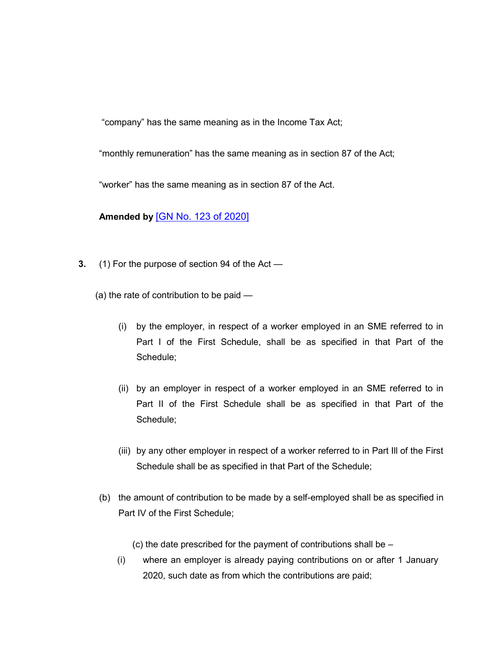"company" has the same meaning as in the Income Tax Act;

"monthly remuneration" has the same meaning as in section 87 of the Act;

"worker" has the same meaning as in section 87 of the Act.

**Amended by** [\[GN No. 123 of 2020\]](https://supremecourt.govmu.org/get-doc-link/GN_No._123_of_2020)

**3.** (1) For the purpose of section 94 of the Act —

(a) the rate of contribution to be paid —

- (i) by the employer, in respect of a worker employed in an SME referred to in Part I of the First Schedule, shall be as specified in that Part of the Schedule;
- (ii) by an employer in respect of a worker employed in an SME referred to in Part II of the First Schedule shall be as specified in that Part of the Schedule;
- (iii) by any other employer in respect of a worker referred to in Part Ill of the First Schedule shall be as specified in that Part of the Schedule;
- (b) the amount of contribution to be made by a self-employed shall be as specified in Part IV of the First Schedule;

(c) the date prescribed for the payment of contributions shall be –

(i) where an employer is already paying contributions on or after 1 January 2020, such date as from which the contributions are paid;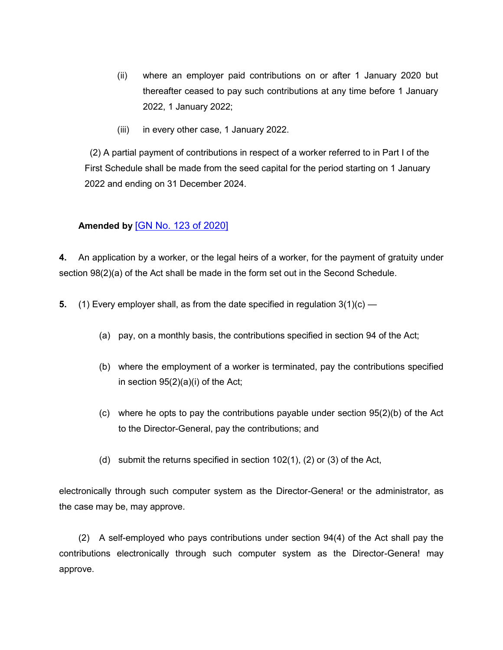- (ii) where an employer paid contributions on or after 1 January 2020 but thereafter ceased to pay such contributions at any time before 1 January 2022, 1 January 2022;
- (iii) in every other case, 1 January 2022.

 (2) A partial payment of contributions in respect of a worker referred to in Part I of the First Schedule shall be made from the seed capital for the period starting on 1 January 2022 and ending on 31 December 2024.

## **Amended by** [\[GN No. 123 of 2020\]](https://supremecourt.govmu.org/get-doc-link/GN_No._123_of_2020)

**4.** An application by a worker, or the legal heirs of a worker, for the payment of gratuity under section 98(2)(a) of the Act shall be made in the form set out in the Second Schedule.

- **5.** (1) Every employer shall, as from the date specified in regulation 3(1)(c)
	- (a) pay, on a monthly basis, the contributions specified in section 94 of the Act;
	- (b) where the employment of a worker is terminated, pay the contributions specified in section 95(2)(a)(i) of the Act;
	- (c) where he opts to pay the contributions payable under section 95(2)(b) of the Act to the Director-General, pay the contributions; and
	- (d) submit the returns specified in section 102(1), (2) or (3) of the Act,

electronically through such computer system as the Director-Genera! or the administrator, as the case may be, may approve.

(2) A self-employed who pays contributions under section 94(4) of the Act shall pay the contributions electronically through such computer system as the Director-Genera! may approve.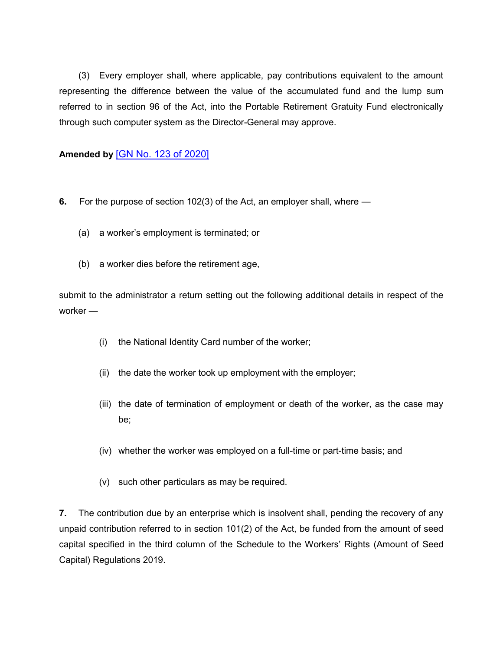(3) Every employer shall, where applicable, pay contributions equivalent to the amount representing the difference between the value of the accumulated fund and the lump sum referred to in section 96 of the Act, into the Portable Retirement Gratuity Fund electronically through such computer system as the Director-General may approve.

## **Amended by** [\[GN No. 123 of 2020\]](https://supremecourt.govmu.org/get-doc-link/GN_No._123_of_2020)

- **6.** For the purpose of section 102(3) of the Act, an employer shall, where
	- (a) a worker's employment is terminated; or
	- (b) a worker dies before the retirement age,

submit to the administrator a return setting out the following additional details in respect of the worker —

- (i) the National Identity Card number of the worker;
- (ii) the date the worker took up employment with the employer;
- (iii) the date of termination of employment or death of the worker, as the case may be;
- (iv) whether the worker was employed on a full-time or part-time basis; and
- (v) such other particulars as may be required.

**7.** The contribution due by an enterprise which is insolvent shall, pending the recovery of any unpaid contribution referred to in section 101(2) of the Act, be funded from the amount of seed capital specified in the third column of the Schedule to the Workers' Rights (Amount of Seed Capital) Regulations 2019.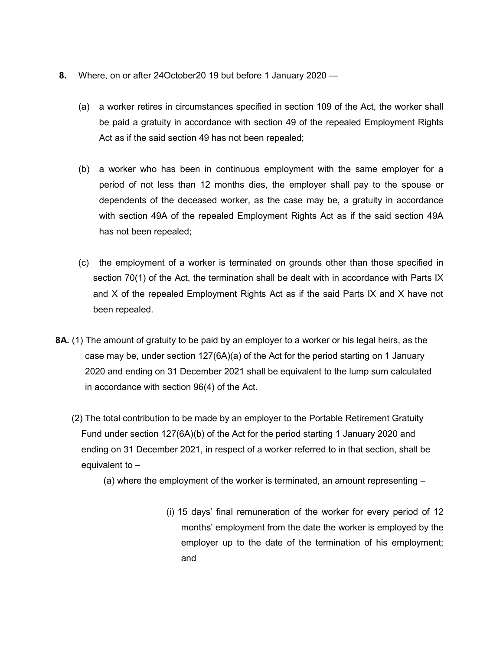- **8.** Where, on or after 24October20 19 but before 1 January 2020
	- (a) a worker retires in circumstances specified in section 109 of the Act, the worker shall be paid a gratuity in accordance with section 49 of the repealed Employment Rights Act as if the said section 49 has not been repealed;
	- (b) a worker who has been in continuous employment with the same employer for a period of not less than 12 months dies, the employer shall pay to the spouse or dependents of the deceased worker, as the case may be, a gratuity in accordance with section 49A of the repealed Employment Rights Act as if the said section 49A has not been repealed;
	- (c) the employment of a worker is terminated on grounds other than those specified in section 70(1) of the Act, the termination shall be dealt with in accordance with Parts IX and X of the repealed Employment Rights Act as if the said Parts IX and X have not been repealed.
- **8A.** (1) The amount of gratuity to be paid by an employer to a worker or his legal heirs, as the case may be, under section 127(6A)(a) of the Act for the period starting on 1 January 2020 and ending on 31 December 2021 shall be equivalent to the lump sum calculated in accordance with section 96(4) of the Act.
	- (2) The total contribution to be made by an employer to the Portable Retirement Gratuity Fund under section 127(6A)(b) of the Act for the period starting 1 January 2020 and ending on 31 December 2021, in respect of a worker referred to in that section, shall be equivalent to –
		- (a) where the employment of the worker is terminated, an amount representing
			- (i) 15 days' final remuneration of the worker for every period of 12 months' employment from the date the worker is employed by the employer up to the date of the termination of his employment; and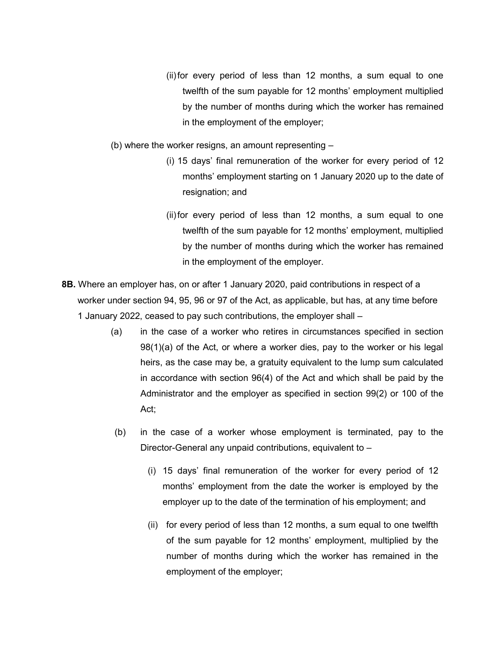- (ii)for every period of less than 12 months, a sum equal to one twelfth of the sum payable for 12 months' employment multiplied by the number of months during which the worker has remained in the employment of the employer;
- (b) where the worker resigns, an amount representing
	- (i) 15 days' final remuneration of the worker for every period of 12 months' employment starting on 1 January 2020 up to the date of resignation; and
	- (ii)for every period of less than 12 months, a sum equal to one twelfth of the sum payable for 12 months' employment, multiplied by the number of months during which the worker has remained in the employment of the employer.
- **8B.** Where an employer has, on or after 1 January 2020, paid contributions in respect of a worker under section 94, 95, 96 or 97 of the Act, as applicable, but has, at any time before 1 January 2022, ceased to pay such contributions, the employer shall –
	- (a) in the case of a worker who retires in circumstances specified in section 98(1)(a) of the Act, or where a worker dies, pay to the worker or his legal heirs, as the case may be, a gratuity equivalent to the lump sum calculated in accordance with section 96(4) of the Act and which shall be paid by the Administrator and the employer as specified in section 99(2) or 100 of the Act;
	- (b) in the case of a worker whose employment is terminated, pay to the Director-General any unpaid contributions, equivalent to –
		- (i) 15 days' final remuneration of the worker for every period of 12 months' employment from the date the worker is employed by the employer up to the date of the termination of his employment; and
		- (ii) for every period of less than 12 months, a sum equal to one twelfth of the sum payable for 12 months' employment, multiplied by the number of months during which the worker has remained in the employment of the employer;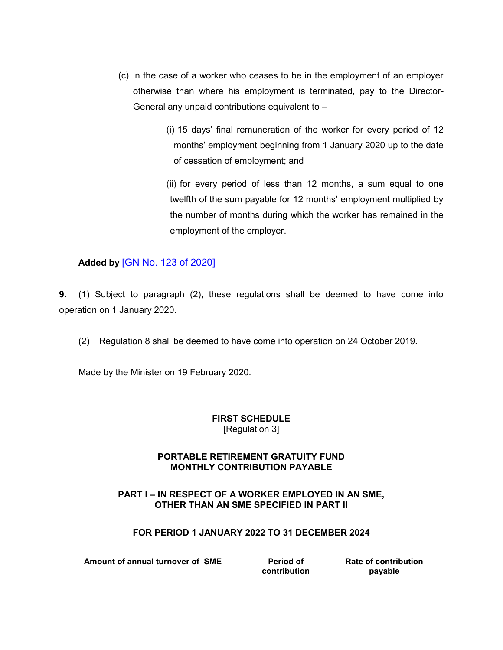- (c) in the case of a worker who ceases to be in the employment of an employer otherwise than where his employment is terminated, pay to the Director-General any unpaid contributions equivalent to –
	- (i) 15 days' final remuneration of the worker for every period of 12 months' employment beginning from 1 January 2020 up to the date of cessation of employment; and

(ii) for every period of less than 12 months, a sum equal to one twelfth of the sum payable for 12 months' employment multiplied by the number of months during which the worker has remained in the employment of the employer.

## **Added by** [\[GN No. 123 of 2020\]](https://supremecourt.govmu.org/get-doc-link/GN_No._123_of_2020)

**9.** (1) Subject to paragraph (2), these regulations shall be deemed to have come into operation on 1 January 2020.

(2) Regulation 8 shall be deemed to have come into operation on 24 October 2019.

Made by the Minister on 19 February 2020.

### **FIRST SCHEDULE** [Regulation 3]

## **PORTABLE RETIREMENT GRATUITY FUND MONTHLY CONTRIBUTION PAYABLE**

## **PART I – IN RESPECT OF A WORKER EMPLOYED IN AN SME, OTHER THAN AN SME SPECIFIED IN PART II**

## **FOR PERIOD 1 JANUARY 2022 TO 31 DECEMBER 2024**

**Amount of annual turnover of SME Period of** 

**contribution**

**Rate of contribution payable**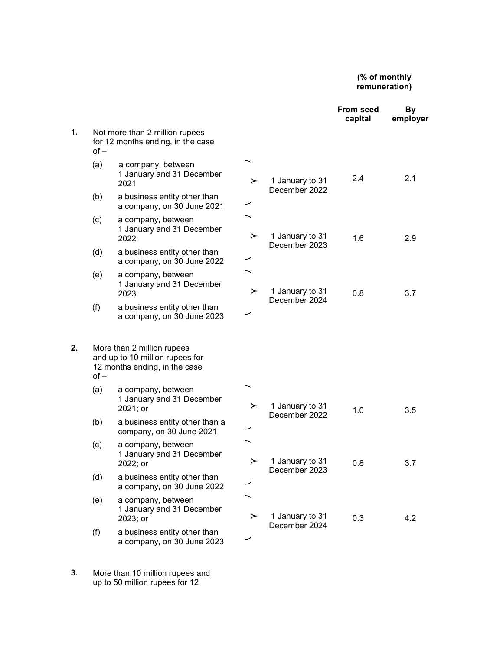#### **(% of monthly remuneration)**

|             |                                                 |                                                                                                |                                  |                                  | <b>From seed</b><br>capital | <b>By</b><br>employer |
|-------------|-------------------------------------------------|------------------------------------------------------------------------------------------------|----------------------------------|----------------------------------|-----------------------------|-----------------------|
| 1.          | $of -$                                          | Not more than 2 million rupees<br>for 12 months ending, in the case                            |                                  |                                  |                             |                       |
|             | (a)                                             | a company, between<br>1 January and 31 December<br>2021                                        |                                  | 1 January to 31<br>December 2022 | 2.4                         | 2.1                   |
|             | (b)                                             | a business entity other than<br>a company, on 30 June 2021                                     |                                  |                                  |                             |                       |
| (c)<br>2022 | a company, between<br>1 January and 31 December |                                                                                                | 1 January to 31<br>December 2023 | 1.6                              | 2.9                         |                       |
|             | (d)                                             | a business entity other than<br>a company, on 30 June 2022                                     |                                  |                                  |                             |                       |
|             | (e)                                             | a company, between<br>1 January and 31 December<br>2023                                        |                                  | 1 January to 31                  | 0.8                         | 3.7                   |
|             | (f)                                             | a business entity other than<br>a company, on 30 June 2023                                     |                                  | December 2024                    |                             |                       |
| 2.          | $of -$                                          | More than 2 million rupees<br>and up to 10 million rupees for<br>12 months ending, in the case |                                  |                                  |                             |                       |
|             | (a)                                             | a company, between<br>1 January and 31 December<br>2021; or                                    |                                  | 1 January to 31<br>December 2022 | 1.0                         | 3.5                   |
|             | (b)                                             | a business entity other than a<br>company, on 30 June 2021                                     |                                  |                                  |                             |                       |
|             | (c)                                             | a company, between<br>1 January and 31 December<br>2022; or                                    |                                  | 1 January to 31                  | 0.8                         | 3.7                   |
|             | (d)                                             | a business entity other than<br>a company, on 30 June 2022                                     |                                  | December 2023                    |                             |                       |
|             | (e)                                             | a company, between<br>1 January and 31 December<br>2023; or                                    |                                  | 1 January to 31                  | 0.3                         | 4.2                   |
|             | (f)                                             | a business entity other than<br>a company, on 30 June 2023                                     |                                  | December 2024                    |                             |                       |

**3.** More than 10 million rupees and up to 50 million rupees for 12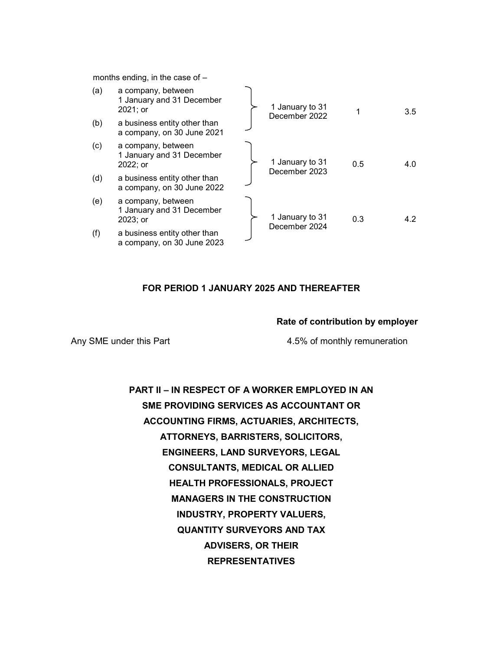months ending, in the case of –

| (a) | a company, between<br>1 January and 31 December<br>$2021;$ or |  | 1 January to 31<br>December 2022 |     | $3.5^{\circ}$ |
|-----|---------------------------------------------------------------|--|----------------------------------|-----|---------------|
| (b) | a business entity other than<br>a company, on 30 June 2021    |  |                                  |     |               |
| (c) | a company, between<br>1 January and 31 December<br>2022; or   |  | 1 January to 31<br>December 2023 | 0.5 | 4.0           |
| (d) | a business entity other than<br>a company, on 30 June 2022    |  |                                  |     |               |
| (e) | a company, between<br>1 January and 31 December<br>$2023;$ or |  | 1 January to 31<br>December 2024 | 0.3 | 4.2           |
| (f) | a business entity other than<br>a company, on 30 June 2023    |  |                                  |     |               |

## **FOR PERIOD 1 JANUARY 2025 AND THEREAFTER**

### **Rate of contribution by employer**

Any SME under this Part 1980 and 4.5% of monthly remuneration

**PART II – IN RESPECT OF A WORKER EMPLOYED IN AN SME PROVIDING SERVICES AS ACCOUNTANT OR ACCOUNTING FIRMS, ACTUARIES, ARCHITECTS, ATTORNEYS, BARRISTERS, SOLICITORS, ENGINEERS, LAND SURVEYORS, LEGAL CONSULTANTS, MEDICAL OR ALLIED HEALTH PROFESSIONALS, PROJECT MANAGERS IN THE CONSTRUCTION INDUSTRY, PROPERTY VALUERS, QUANTITY SURVEYORS AND TAX ADVISERS, OR THEIR REPRESENTATIVES**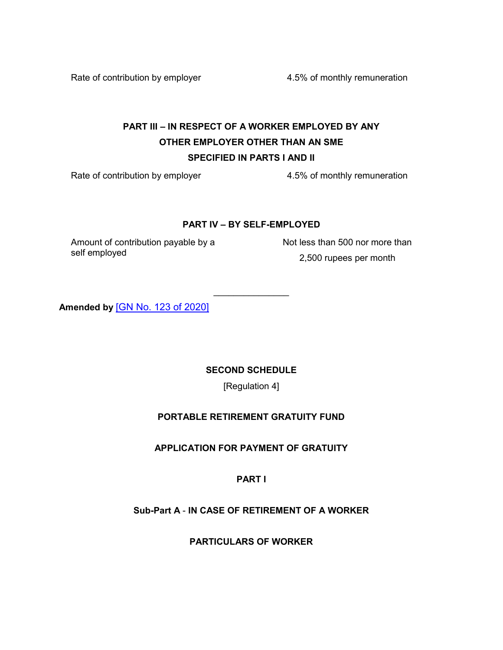Rate of contribution by employer 4.5% of monthly remuneration

# **PART III – IN RESPECT OF A WORKER EMPLOYED BY ANY OTHER EMPLOYER OTHER THAN AN SME SPECIFIED IN PARTS I AND II**

Rate of contribution by employer 4.5% of monthly remuneration

## **PART IV – BY SELF-EMPLOYED**

 $\frac{1}{2}$ 

Amount of contribution payable by a self employed

Not less than 500 nor more than 2,500 rupees per month

**Amended by** [\[GN No. 123 of 2020\]](https://supremecourt.govmu.org/get-doc-link/GN_No._123_of_2020)

**SECOND SCHEDULE**

[Regulation 4]

# **PORTABLE RETIREMENT GRATUITY FUND**

**APPLICATION FOR PAYMENT OF GRATUITY**

**PART I**

# **Sub-Part A** - **IN CASE OF RETIREMENT OF A WORKER**

**PARTICULARS OF WORKER**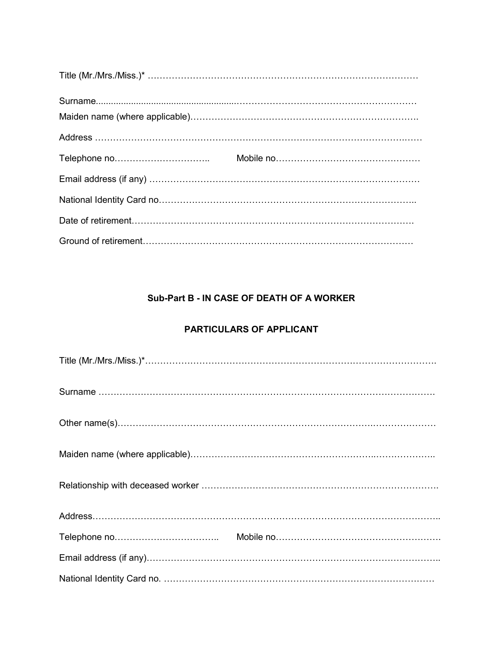| Title (Mr./Mrs./Miss.)* ………………………………………………………………………………… |  |
|---------------------------------------------------------|--|
|                                                         |  |
|                                                         |  |
|                                                         |  |
|                                                         |  |
|                                                         |  |
|                                                         |  |
|                                                         |  |

# **Sub-Part B - IN CASE OF DEATH OF A WORKER**

# **PARTICULARS OF APPLICANT**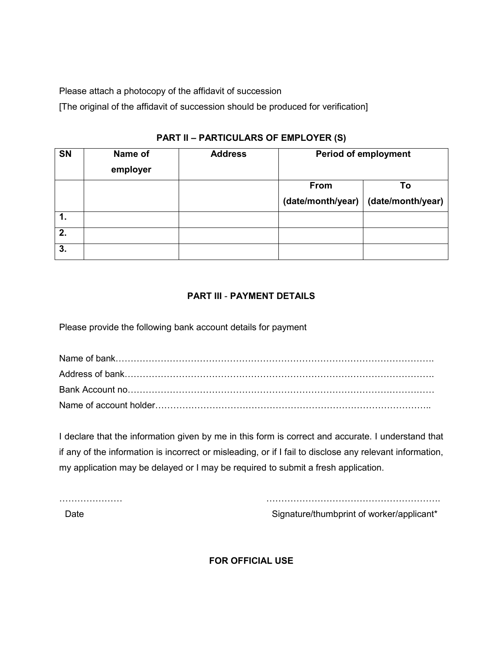Please attach a photocopy of the affidavit of succession

[The original of the affidavit of succession should be produced for verification]

| SN | Name of  | <b>Address</b> |                   | <b>Period of employment</b> |
|----|----------|----------------|-------------------|-----------------------------|
|    | employer |                |                   |                             |
|    |          |                | <b>From</b>       | To                          |
|    |          |                | (date/month/year) | (date/month/year)           |
| 1. |          |                |                   |                             |
| 2. |          |                |                   |                             |
| 3. |          |                |                   |                             |

**PART II – PARTICULARS OF EMPLOYER (S)**

## **PART III** - **PAYMENT DETAILS**

Please provide the following bank account details for payment

I declare that the information given by me in this form is correct and accurate. I understand that if any of the information is incorrect or misleading, or if I fail to disclose any relevant information, my application may be delayed or I may be required to submit a fresh application.

………………… …………………………………………………. Date **Signature/thumbprint of worker/applicant\*** 

**FOR OFFICIAL USE**